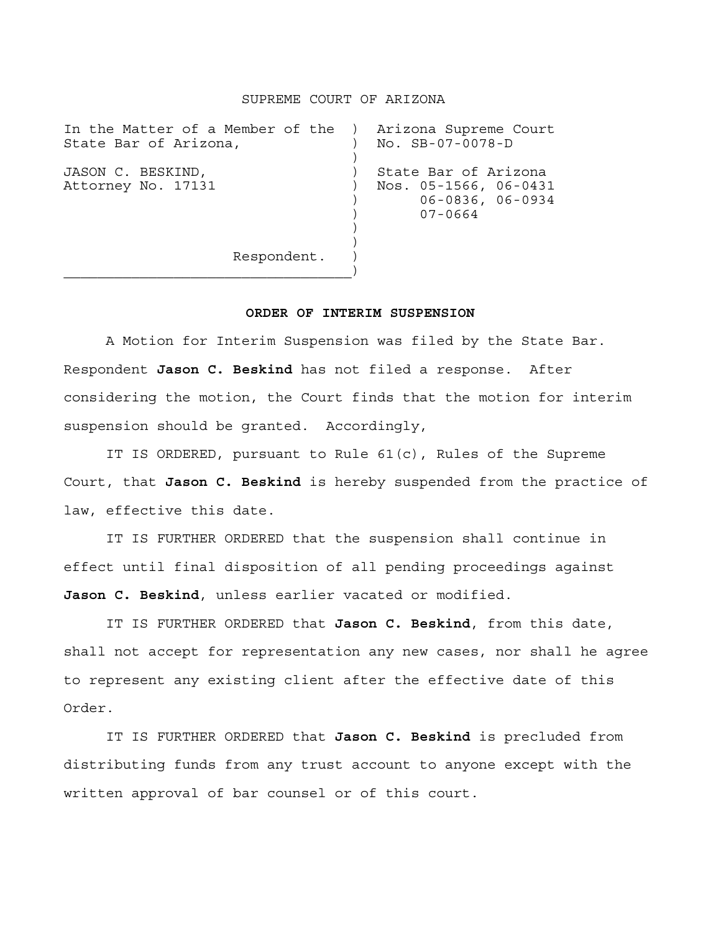## SUPREME COURT OF ARIZONA

| In the Matter of a Member of the )<br>State Bar of Arizona, | Arizona Supreme Court<br>No. SB-07-0078-D                                          |
|-------------------------------------------------------------|------------------------------------------------------------------------------------|
| JASON C. BESKIND,<br>Attorney No. 17131                     | State Bar of Arizona<br>Nos. 05-1566, 06-0431<br>$06 - 0836, 06 - 0934$<br>07-0664 |
| Respondent.                                                 |                                                                                    |

 $\overline{\phantom{a}}$ 

## **ORDER OF INTERIM SUSPENSION**

 A Motion for Interim Suspension was filed by the State Bar. Respondent **Jason C. Beskind** has not filed a response. After considering the motion, the Court finds that the motion for interim suspension should be granted. Accordingly,

 IT IS ORDERED, pursuant to Rule 61(c), Rules of the Supreme Court, that **Jason C. Beskind** is hereby suspended from the practice of law, effective this date.

 IT IS FURTHER ORDERED that the suspension shall continue in effect until final disposition of all pending proceedings against **Jason C. Beskind**, unless earlier vacated or modified.

 IT IS FURTHER ORDERED that **Jason C. Beskind**, from this date, shall not accept for representation any new cases, nor shall he agree to represent any existing client after the effective date of this Order.

 IT IS FURTHER ORDERED that **Jason C. Beskind** is precluded from distributing funds from any trust account to anyone except with the written approval of bar counsel or of this court.